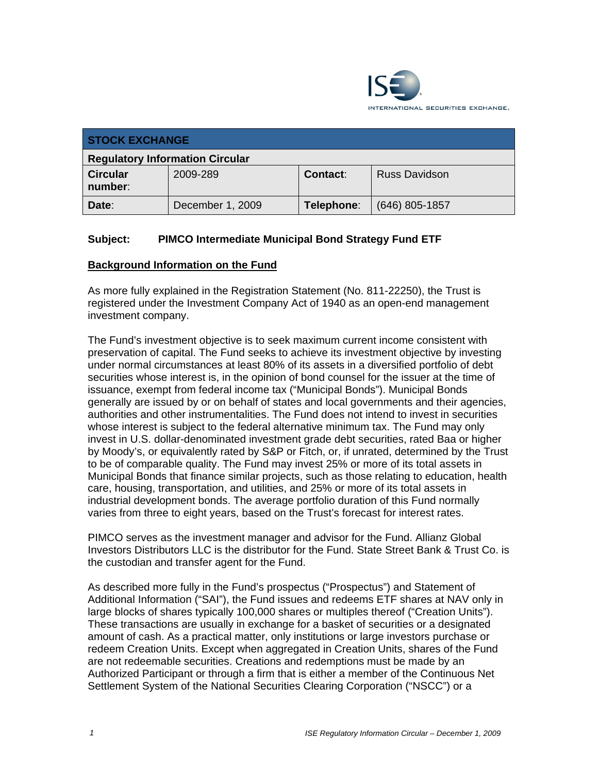

| <b>STOCK EXCHANGE</b>                  |                  |            |                      |  |  |
|----------------------------------------|------------------|------------|----------------------|--|--|
| <b>Regulatory Information Circular</b> |                  |            |                      |  |  |
| <b>Circular</b><br>number:             | 2009-289         | Contact:   | <b>Russ Davidson</b> |  |  |
| Date:                                  | December 1, 2009 | Telephone: | $(646)$ 805-1857     |  |  |

## **Subject: PIMCO Intermediate Municipal Bond Strategy Fund ETF**

#### **Background Information on the Fund**

As more fully explained in the Registration Statement (No. 811-22250), the Trust is registered under the Investment Company Act of 1940 as an open-end management investment company.

The Fund's investment objective is to seek maximum current income consistent with preservation of capital. The Fund seeks to achieve its investment objective by investing under normal circumstances at least 80% of its assets in a diversified portfolio of debt securities whose interest is, in the opinion of bond counsel for the issuer at the time of issuance, exempt from federal income tax ("Municipal Bonds"). Municipal Bonds generally are issued by or on behalf of states and local governments and their agencies, authorities and other instrumentalities. The Fund does not intend to invest in securities whose interest is subject to the federal alternative minimum tax. The Fund may only invest in U.S. dollar-denominated investment grade debt securities, rated Baa or higher by Moody's, or equivalently rated by S&P or Fitch, or, if unrated, determined by the Trust to be of comparable quality. The Fund may invest 25% or more of its total assets in Municipal Bonds that finance similar projects, such as those relating to education, health care, housing, transportation, and utilities, and 25% or more of its total assets in industrial development bonds. The average portfolio duration of this Fund normally varies from three to eight years, based on the Trust's forecast for interest rates.

PIMCO serves as the investment manager and advisor for the Fund. Allianz Global Investors Distributors LLC is the distributor for the Fund. State Street Bank & Trust Co. is the custodian and transfer agent for the Fund.

As described more fully in the Fund's prospectus ("Prospectus") and Statement of Additional Information ("SAI"), the Fund issues and redeems ETF shares at NAV only in large blocks of shares typically 100,000 shares or multiples thereof ("Creation Units"). These transactions are usually in exchange for a basket of securities or a designated amount of cash. As a practical matter, only institutions or large investors purchase or redeem Creation Units. Except when aggregated in Creation Units, shares of the Fund are not redeemable securities. Creations and redemptions must be made by an Authorized Participant or through a firm that is either a member of the Continuous Net Settlement System of the National Securities Clearing Corporation ("NSCC") or a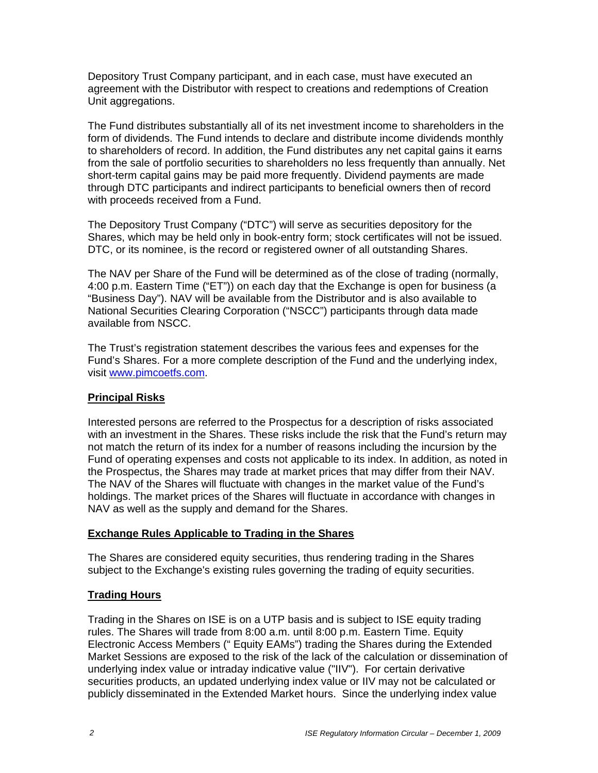Depository Trust Company participant, and in each case, must have executed an agreement with the Distributor with respect to creations and redemptions of Creation Unit aggregations.

The Fund distributes substantially all of its net investment income to shareholders in the form of dividends. The Fund intends to declare and distribute income dividends monthly to shareholders of record. In addition, the Fund distributes any net capital gains it earns from the sale of portfolio securities to shareholders no less frequently than annually. Net short-term capital gains may be paid more frequently. Dividend payments are made through DTC participants and indirect participants to beneficial owners then of record with proceeds received from a Fund.

The Depository Trust Company ("DTC") will serve as securities depository for the Shares, which may be held only in book-entry form; stock certificates will not be issued. DTC, or its nominee, is the record or registered owner of all outstanding Shares.

The NAV per Share of the Fund will be determined as of the close of trading (normally, 4:00 p.m. Eastern Time ("ET")) on each day that the Exchange is open for business (a "Business Day"). NAV will be available from the Distributor and is also available to National Securities Clearing Corporation ("NSCC") participants through data made available from NSCC.

The Trust's registration statement describes the various fees and expenses for the Fund's Shares. For a more complete description of the Fund and the underlying index, visit www.pimcoetfs.com.

# **Principal Risks**

Interested persons are referred to the Prospectus for a description of risks associated with an investment in the Shares. These risks include the risk that the Fund's return may not match the return of its index for a number of reasons including the incursion by the Fund of operating expenses and costs not applicable to its index. In addition, as noted in the Prospectus, the Shares may trade at market prices that may differ from their NAV. The NAV of the Shares will fluctuate with changes in the market value of the Fund's holdings. The market prices of the Shares will fluctuate in accordance with changes in NAV as well as the supply and demand for the Shares.

# **Exchange Rules Applicable to Trading in the Shares**

The Shares are considered equity securities, thus rendering trading in the Shares subject to the Exchange's existing rules governing the trading of equity securities.

# **Trading Hours**

Trading in the Shares on ISE is on a UTP basis and is subject to ISE equity trading rules. The Shares will trade from 8:00 a.m. until 8:00 p.m. Eastern Time. Equity Electronic Access Members (" Equity EAMs") trading the Shares during the Extended Market Sessions are exposed to the risk of the lack of the calculation or dissemination of underlying index value or intraday indicative value ("IIV"). For certain derivative securities products, an updated underlying index value or IIV may not be calculated or publicly disseminated in the Extended Market hours. Since the underlying index value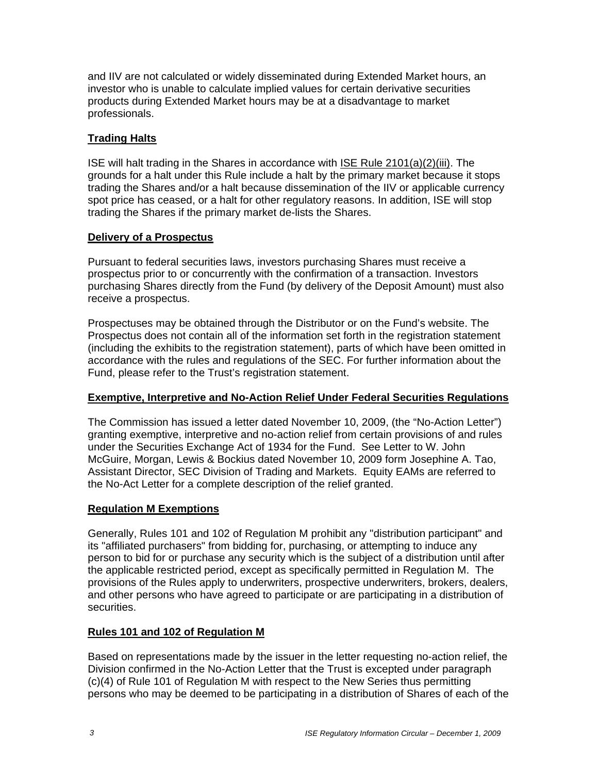and IIV are not calculated or widely disseminated during Extended Market hours, an investor who is unable to calculate implied values for certain derivative securities products during Extended Market hours may be at a disadvantage to market professionals.

## **Trading Halts**

ISE will halt trading in the Shares in accordance with ISE Rule 2101(a)(2)(iii). The grounds for a halt under this Rule include a halt by the primary market because it stops trading the Shares and/or a halt because dissemination of the IIV or applicable currency spot price has ceased, or a halt for other regulatory reasons. In addition, ISE will stop trading the Shares if the primary market de-lists the Shares.

#### **Delivery of a Prospectus**

Pursuant to federal securities laws, investors purchasing Shares must receive a prospectus prior to or concurrently with the confirmation of a transaction. Investors purchasing Shares directly from the Fund (by delivery of the Deposit Amount) must also receive a prospectus.

Prospectuses may be obtained through the Distributor or on the Fund's website. The Prospectus does not contain all of the information set forth in the registration statement (including the exhibits to the registration statement), parts of which have been omitted in accordance with the rules and regulations of the SEC. For further information about the Fund, please refer to the Trust's registration statement.

#### **Exemptive, Interpretive and No-Action Relief Under Federal Securities Regulations**

The Commission has issued a letter dated November 10, 2009, (the "No-Action Letter") granting exemptive, interpretive and no-action relief from certain provisions of and rules under the Securities Exchange Act of 1934 for the Fund. See Letter to W. John McGuire, Morgan, Lewis & Bockius dated November 10, 2009 form Josephine A. Tao, Assistant Director, SEC Division of Trading and Markets. Equity EAMs are referred to the No-Act Letter for a complete description of the relief granted.

#### **Regulation M Exemptions**

Generally, Rules 101 and 102 of Regulation M prohibit any "distribution participant" and its "affiliated purchasers" from bidding for, purchasing, or attempting to induce any person to bid for or purchase any security which is the subject of a distribution until after the applicable restricted period, except as specifically permitted in Regulation M. The provisions of the Rules apply to underwriters, prospective underwriters, brokers, dealers, and other persons who have agreed to participate or are participating in a distribution of securities.

#### **Rules 101 and 102 of Regulation M**

Based on representations made by the issuer in the letter requesting no-action relief, the Division confirmed in the No-Action Letter that the Trust is excepted under paragraph (c)(4) of Rule 101 of Regulation M with respect to the New Series thus permitting persons who may be deemed to be participating in a distribution of Shares of each of the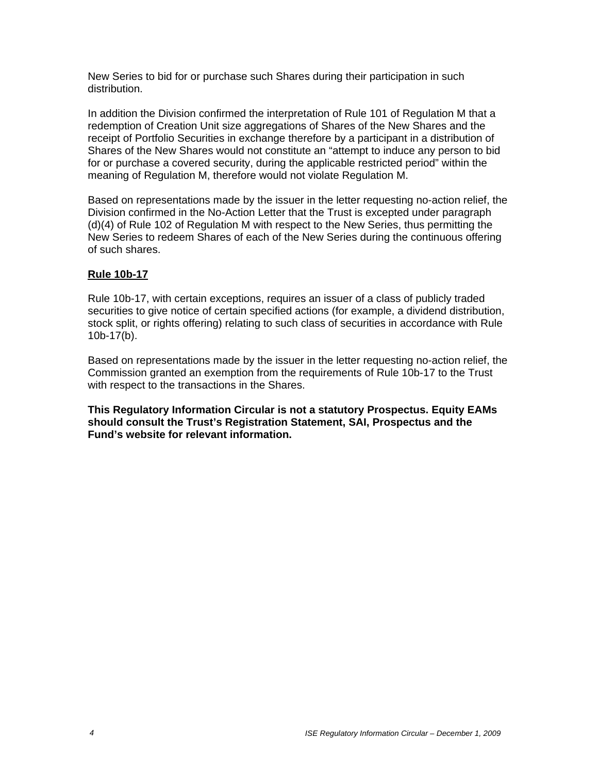New Series to bid for or purchase such Shares during their participation in such distribution.

In addition the Division confirmed the interpretation of Rule 101 of Regulation M that a redemption of Creation Unit size aggregations of Shares of the New Shares and the receipt of Portfolio Securities in exchange therefore by a participant in a distribution of Shares of the New Shares would not constitute an "attempt to induce any person to bid for or purchase a covered security, during the applicable restricted period" within the meaning of Regulation M, therefore would not violate Regulation M.

Based on representations made by the issuer in the letter requesting no-action relief, the Division confirmed in the No-Action Letter that the Trust is excepted under paragraph (d)(4) of Rule 102 of Regulation M with respect to the New Series, thus permitting the New Series to redeem Shares of each of the New Series during the continuous offering of such shares.

#### **Rule 10b-17**

Rule 10b-17, with certain exceptions, requires an issuer of a class of publicly traded securities to give notice of certain specified actions (for example, a dividend distribution, stock split, or rights offering) relating to such class of securities in accordance with Rule 10b-17(b).

Based on representations made by the issuer in the letter requesting no-action relief, the Commission granted an exemption from the requirements of Rule 10b-17 to the Trust with respect to the transactions in the Shares.

**This Regulatory Information Circular is not a statutory Prospectus. Equity EAMs should consult the Trust's Registration Statement, SAI, Prospectus and the Fund's website for relevant information.**